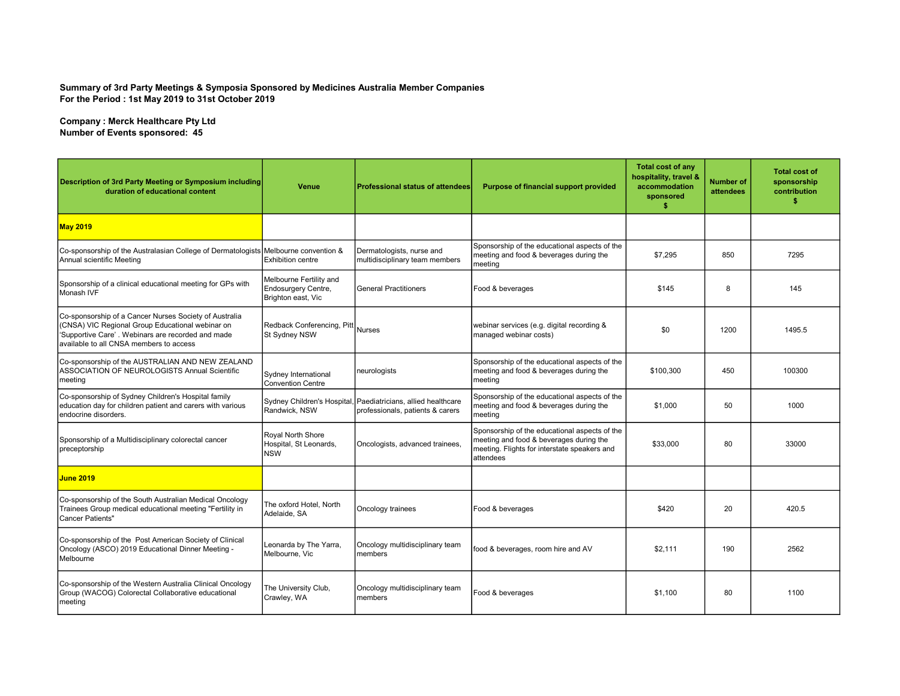## Summary of 3rd Party Meetings & Symposia Sponsored by Medicines Australia Member Companies For the Period : 1st May 2019 to 31st October 2019

Company : Merck Healthcare Pty Ltd Number of Events sponsored: 45

| Description of 3rd Party Meeting or Symposium including<br>duration of educational content                                                                                                                 | <b>Venue</b>                                                                | Professional status of attendees                                                                  | Purpose of financial support provided                                                                                                                 | <b>Total cost of any</b><br>hospitality, travel &<br>accommodation<br>sponsored<br>\$. | <b>Number of</b><br>attendees | <b>Total cost of</b><br>sponsorship<br>contribution<br>\$ |
|------------------------------------------------------------------------------------------------------------------------------------------------------------------------------------------------------------|-----------------------------------------------------------------------------|---------------------------------------------------------------------------------------------------|-------------------------------------------------------------------------------------------------------------------------------------------------------|----------------------------------------------------------------------------------------|-------------------------------|-----------------------------------------------------------|
| <b>May 2019</b>                                                                                                                                                                                            |                                                                             |                                                                                                   |                                                                                                                                                       |                                                                                        |                               |                                                           |
| Co-sponsorship of the Australasian College of Dermatologists Melbourne convention &<br>Annual scientific Meeting                                                                                           | <b>Exhibition centre</b>                                                    | Dermatologists, nurse and<br>multidisciplinary team members                                       | Sponsorship of the educational aspects of the<br>meeting and food & beverages during the<br>meeting                                                   | \$7,295                                                                                | 850                           | 7295                                                      |
| Sponsorship of a clinical educational meeting for GPs with<br>Monash IVF                                                                                                                                   | Melbourne Fertility and<br><b>Endosurgery Centre,</b><br>Brighton east, Vic | l General Practitioners                                                                           | Food & beverages                                                                                                                                      | \$145                                                                                  | 8                             | 145                                                       |
| Co-sponsorship of a Cancer Nurses Society of Australia<br>(CNSA) VIC Regional Group Educational webinar on<br>'Supportive Care'. Webinars are recorded and made<br>available to all CNSA members to access | Redback Conferencing, Pitt Nurses<br>St Sydney NSW                          |                                                                                                   | webinar services (e.g. digital recording &<br>managed webinar costs)                                                                                  | \$0                                                                                    | 1200                          | 1495.5                                                    |
| Co-sponsorship of the AUSTRALIAN AND NEW ZEALAND<br>ASSOCIATION OF NEUROLOGISTS Annual Scientific<br>meeting                                                                                               | Sydney International<br><b>Convention Centre</b>                            | neurologists                                                                                      | Sponsorship of the educational aspects of the<br>meeting and food & beverages during the<br>meeting                                                   | \$100,300                                                                              | 450                           | 100300                                                    |
| Co-sponsorship of Sydney Children's Hospital family<br>education day for children patient and carers with various<br>endocrine disorders.                                                                  | Randwick, NSW                                                               | Sydney Children's Hospital, Paediatricians, allied healthcare<br>professionals, patients & carers | Sponsorship of the educational aspects of the<br>meeting and food & beverages during the<br>meeting                                                   | \$1,000                                                                                | 50                            | 1000                                                      |
| Sponsorship of a Multidisciplinary colorectal cancer<br>preceptorship                                                                                                                                      | Royal North Shore<br>Hospital, St Leonards,<br><b>NSW</b>                   | Oncologists, advanced trainees,                                                                   | Sponsorship of the educational aspects of the<br>meeting and food & beverages during the<br>meeting. Flights for interstate speakers and<br>attendees | \$33,000                                                                               | 80                            | 33000                                                     |
| <b>June 2019</b>                                                                                                                                                                                           |                                                                             |                                                                                                   |                                                                                                                                                       |                                                                                        |                               |                                                           |
| Co-sponsorship of the South Australian Medical Oncology<br>Trainees Group medical educational meeting "Fertility in<br><b>Cancer Patients"</b>                                                             | The oxford Hotel, North<br>Adelaide, SA                                     | Oncology trainees                                                                                 | Food & beverages                                                                                                                                      | \$420                                                                                  | 20                            | 420.5                                                     |
| Co-sponsorship of the Post American Society of Clinical<br>Oncology (ASCO) 2019 Educational Dinner Meeting -<br>Melbourne                                                                                  | Leonarda by The Yarra,<br>Melbourne, Vic                                    | Oncology multidisciplinary team<br><b>Imembers</b>                                                | food & beverages, room hire and AV                                                                                                                    | \$2.111                                                                                | 190                           | 2562                                                      |
| Co-sponsorship of the Western Australia Clinical Oncology<br>Group (WACOG) Colorectal Collaborative educational<br>meeting                                                                                 | The University Club,<br>Crawley, WA                                         | Oncology multidisciplinary team<br>members                                                        | Food & beverages                                                                                                                                      | \$1,100                                                                                | 80                            | 1100                                                      |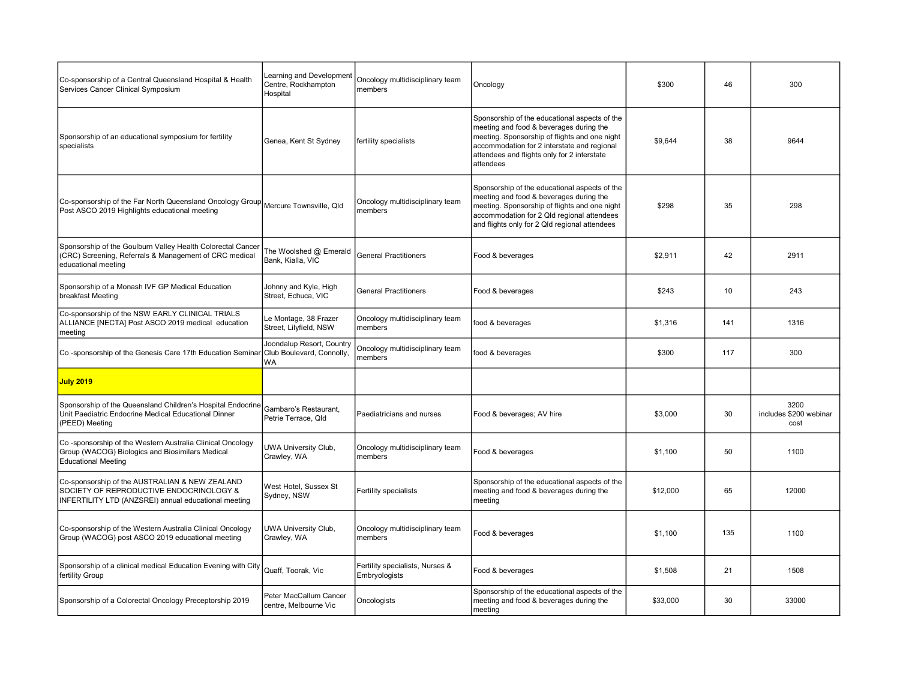| Co-sponsorship of a Central Queensland Hospital & Health<br>Services Cancer Clinical Symposium                                                    | Learning and Development<br>Centre, Rockhampton<br>Hospital  | Oncology multidisciplinary team<br>members       | Oncology                                                                                                                                                                                                                                             | \$300    | 46  | 300                                    |
|---------------------------------------------------------------------------------------------------------------------------------------------------|--------------------------------------------------------------|--------------------------------------------------|------------------------------------------------------------------------------------------------------------------------------------------------------------------------------------------------------------------------------------------------------|----------|-----|----------------------------------------|
| Sponsorship of an educational symposium for fertility<br>specialists                                                                              | Genea, Kent St Sydney                                        | fertility specialists                            | Sponsorship of the educational aspects of the<br>meeting and food & beverages during the<br>meeting. Sponsorship of flights and one night<br>accommodation for 2 interstate and regional<br>attendees and flights only for 2 interstate<br>attendees | \$9,644  | 38  | 9644                                   |
| Co-sponsorship of the Far North Queensland Oncology Group $\big $ Mercure Townsville, Qld<br>Post ASCO 2019 Highlights educational meeting        |                                                              | Oncology multidisciplinary team<br>members       | Sponsorship of the educational aspects of the<br>meeting and food & beverages during the<br>meeting. Sponsorship of flights and one night<br>accommodation for 2 Qld regional attendees<br>and flights only for 2 Qld regional attendees             | \$298    | 35  | 298                                    |
| Sponsorship of the Goulburn Valley Health Colorectal Cancer<br>(CRC) Screening, Referrals & Management of CRC medical<br>educational meeting      | The Woolshed @ Emerald<br>Bank, Kialla, VIC                  | <b>General Practitioners</b>                     | Food & beverages                                                                                                                                                                                                                                     | \$2,911  | 42  | 2911                                   |
| Sponsorship of a Monash IVF GP Medical Education<br>breakfast Meeting                                                                             | Johnny and Kyle, High<br>Street, Echuca, VIC                 | <b>General Practitioners</b>                     | Food & beverages                                                                                                                                                                                                                                     | \$243    | 10  | 243                                    |
| Co-sponsorship of the NSW EARLY CLINICAL TRIALS<br>ALLIANCE [NECTA] Post ASCO 2019 medical education<br>meeting                                   | Le Montage, 38 Frazer<br>Street, Lilyfield, NSW              | Oncology multidisciplinary team<br>members       | food & beverages                                                                                                                                                                                                                                     | \$1,316  | 141 | 1316                                   |
| Co-sponsorship of the Genesis Care 17th Education Seminar                                                                                         | Joondalup Resort, Country<br>Club Boulevard, Connolly,<br>WA | Oncology multidisciplinary team<br>members       | food & beverages                                                                                                                                                                                                                                     | \$300    | 117 | 300                                    |
| <b>July 2019</b>                                                                                                                                  |                                                              |                                                  |                                                                                                                                                                                                                                                      |          |     |                                        |
| Sponsorship of the Queensland Children's Hospital Endocrine<br>Unit Paediatric Endocrine Medical Educational Dinner<br>(PEED) Meeting             | Gambaro's Restaurant,<br>Petrie Terrace, Old                 | Paediatricians and nurses                        | Food & beverages; AV hire                                                                                                                                                                                                                            | \$3,000  | 30  | 3200<br>includes \$200 webinar<br>cost |
| Co-sponsorship of the Western Australia Clinical Oncology<br>Group (WACOG) Biologics and Biosimilars Medical<br><b>Educational Meeting</b>        | UWA University Club,<br>Crawley, WA                          | Oncology multidisciplinary team<br>members       | Food & beverages                                                                                                                                                                                                                                     | \$1,100  | 50  | 1100                                   |
| Co-sponsorship of the AUSTRALIAN & NEW ZEALAND<br>SOCIETY OF REPRODUCTIVE ENDOCRINOLOGY &<br>INFERTILITY LTD (ANZSREI) annual educational meeting | West Hotel, Sussex St<br>Sydney, NSW                         | Fertility specialists                            | Sponsorship of the educational aspects of the<br>meeting and food & beverages during the<br>meeting                                                                                                                                                  | \$12,000 | 65  | 12000                                  |
| Co-sponsorship of the Western Australia Clinical Oncology<br>Group (WACOG) post ASCO 2019 educational meeting                                     | UWA University Club,<br>Crawley, WA                          | Oncology multidisciplinary team<br>members       | Food & beverages                                                                                                                                                                                                                                     | \$1,100  | 135 | 1100                                   |
| Sponsorship of a clinical medical Education Evening with City<br>fertility Group                                                                  | Quaff, Toorak, Vic                                           | Fertility specialists, Nurses &<br>Embryologists | Food & beverages                                                                                                                                                                                                                                     | \$1,508  | 21  | 1508                                   |
| Sponsorship of a Colorectal Oncology Preceptorship 2019                                                                                           | Peter MacCallum Cancer<br>centre, Melbourne Vic              | Oncologists                                      | Sponsorship of the educational aspects of the<br>meeting and food & beverages during the<br>meeting                                                                                                                                                  | \$33,000 | 30  | 33000                                  |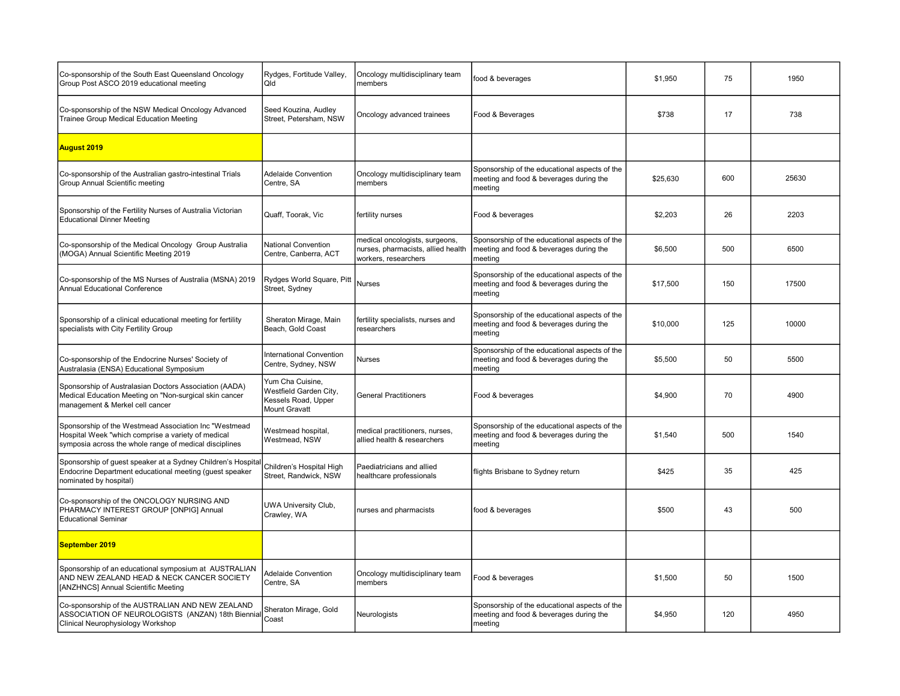| Co-sponsorship of the South East Queensland Oncology<br>Group Post ASCO 2019 educational meeting                                                                      | Rydges, Fortitude Valley,<br>Qld                                                          | Oncology multidisciplinary team<br>members                                                   | food & beverages                                                                                    | \$1,950  | 75  | 1950  |
|-----------------------------------------------------------------------------------------------------------------------------------------------------------------------|-------------------------------------------------------------------------------------------|----------------------------------------------------------------------------------------------|-----------------------------------------------------------------------------------------------------|----------|-----|-------|
| Co-sponsorship of the NSW Medical Oncology Advanced<br>Trainee Group Medical Education Meeting                                                                        | Seed Kouzina, Audley<br>Street, Petersham, NSW                                            | Oncology advanced trainees                                                                   | Food & Beverages                                                                                    | \$738    | 17  | 738   |
| <b>August 2019</b>                                                                                                                                                    |                                                                                           |                                                                                              |                                                                                                     |          |     |       |
| Co-sponsorship of the Australian gastro-intestinal Trials<br>Group Annual Scientific meeting                                                                          | <b>Adelaide Convention</b><br>Centre, SA                                                  | Oncology multidisciplinary team<br>members                                                   | Sponsorship of the educational aspects of the<br>meeting and food & beverages during the<br>meeting | \$25,630 | 600 | 25630 |
| Sponsorship of the Fertility Nurses of Australia Victorian<br><b>Educational Dinner Meeting</b>                                                                       | Quaff, Toorak, Vic                                                                        | fertility nurses                                                                             | Food & beverages                                                                                    | \$2,203  | 26  | 2203  |
| Co-sponsorship of the Medical Oncology Group Australia<br>(MOGA) Annual Scientific Meeting 2019                                                                       | National Convention<br>Centre, Canberra, ACT                                              | medical oncologists, surgeons,<br>nurses, pharmacists, allied health<br>workers, researchers | Sponsorship of the educational aspects of the<br>meeting and food & beverages during the<br>meetina | \$6,500  | 500 | 6500  |
| Co-sponsorship of the MS Nurses of Australia (MSNA) 2019<br>Annual Educational Conference                                                                             | Rydges World Square, Pitt<br>Street, Sydney                                               | <b>Nurses</b>                                                                                | Sponsorship of the educational aspects of the<br>meeting and food & beverages during the<br>meeting | \$17,500 | 150 | 17500 |
| Sponsorship of a clinical educational meeting for fertility<br>specialists with City Fertility Group                                                                  | Sheraton Mirage, Main<br>Beach, Gold Coast                                                | fertility specialists, nurses and<br>researchers                                             | Sponsorship of the educational aspects of the<br>meeting and food & beverages during the<br>meeting | \$10,000 | 125 | 10000 |
| Co-sponsorship of the Endocrine Nurses' Society of<br>Australasia (ENSA) Educational Symposium                                                                        | International Convention<br>Centre, Sydney, NSW                                           | Nurses                                                                                       | Sponsorship of the educational aspects of the<br>meeting and food & beverages during the<br>meeting | \$5,500  | 50  | 5500  |
| Sponsorship of Australasian Doctors Association (AADA)<br>Medical Education Meeting on "Non-surgical skin cancer<br>management & Merkel cell cancer                   | Yum Cha Cuisine,<br>Westfield Garden City,<br>Kessels Road, Upper<br><b>Mount Gravatt</b> | <b>General Practitioners</b>                                                                 | Food & beverages                                                                                    | \$4,900  | 70  | 4900  |
| Sponsorship of the Westmead Association Inc "Westmead<br>Hospital Week "which comprise a variety of medical<br>symposia across the whole range of medical disciplines | Westmead hospital,<br>Westmead, NSW                                                       | medical practitioners, nurses,<br>allied health & researchers                                | Sponsorship of the educational aspects of the<br>meeting and food & beverages during the<br>meeting | \$1,540  | 500 | 1540  |
| Sponsorship of guest speaker at a Sydney Children's Hospital<br>Endocrine Department educational meeting (quest speaker<br>nominated by hospital)                     | Children's Hospital High<br>Street, Randwick, NSW                                         | Paediatricians and allied<br>healthcare professionals                                        | flights Brisbane to Sydney return                                                                   | \$425    | 35  | 425   |
| Co-sponsorship of the ONCOLOGY NURSING AND<br>PHARMACY INTEREST GROUP [ONPIG] Annual<br><b>Educational Seminar</b>                                                    | UWA University Club,<br>Crawley, WA                                                       | nurses and pharmacists                                                                       | food & beverages                                                                                    | \$500    | 43  | 500   |
| September 2019                                                                                                                                                        |                                                                                           |                                                                                              |                                                                                                     |          |     |       |
| Sponsorship of an educational symposium at AUSTRALIAN<br>AND NEW ZEALAND HEAD & NECK CANCER SOCIETY<br>[ANZHNCS] Annual Scientific Meeting                            | <b>Adelaide Convention</b><br>Centre, SA                                                  | Oncology multidisciplinary team<br>members                                                   | Food & beverages                                                                                    | \$1,500  | 50  | 1500  |
| Co-sponsorship of the AUSTRALIAN AND NEW ZEALAND<br>ASSOCIATION OF NEUROLOGISTS (ANZAN) 18th Biennial<br>Clinical Neurophysiology Workshop                            | Sheraton Mirage, Gold<br>Coast                                                            | Neurologists                                                                                 | Sponsorship of the educational aspects of the<br>meeting and food & beverages during the<br>meeting | \$4,950  | 120 | 4950  |